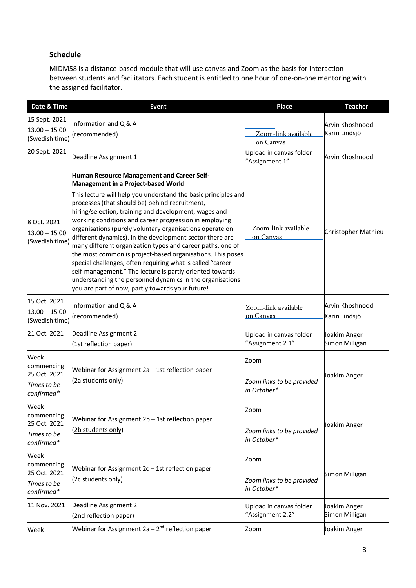## **Schedule**

MIDM58 is a distance-based module that will use canvas and Zoom as the basis for interaction between students and facilitators. Each student is entitled to one hour of one-on-one mentoring with the assigned facilitator.

| Date & Time                                                     | <b>Event</b>                                                                                                                                                                                                                                                                                                                                                                                                                                                                                                                                                                                                                                                                                                                                                                                                            | <b>Place</b>                                     | <b>Teacher</b>                   |
|-----------------------------------------------------------------|-------------------------------------------------------------------------------------------------------------------------------------------------------------------------------------------------------------------------------------------------------------------------------------------------------------------------------------------------------------------------------------------------------------------------------------------------------------------------------------------------------------------------------------------------------------------------------------------------------------------------------------------------------------------------------------------------------------------------------------------------------------------------------------------------------------------------|--------------------------------------------------|----------------------------------|
| 15 Sept. 2021<br>$13.00 - 15.00$<br>(Swedish time)              | Information and Q & A<br>(recommended)                                                                                                                                                                                                                                                                                                                                                                                                                                                                                                                                                                                                                                                                                                                                                                                  | Zoom-link available<br>on Canvas                 | Arvin Khoshnood<br>Karin Lindsjö |
| 20 Sept. 2021                                                   | Deadline Assignment 1                                                                                                                                                                                                                                                                                                                                                                                                                                                                                                                                                                                                                                                                                                                                                                                                   | Upload in canvas folder<br>'Assignment 1"        | Arvin Khoshnood                  |
| 8 Oct. 2021<br>$13.00 - 15.00$<br>(Swedish time)                | Human Resource Management and Career Self-<br>Management in a Project-based World<br>This lecture will help you understand the basic principles and<br>processes (that should be) behind recruitment,<br>hiring/selection, training and development, wages and<br>working conditions and career progression in employing<br>organisations (purely voluntary organisations operate on<br>different dynamics). In the development sector there are<br>many different organization types and career paths, one of<br>the most common is project-based organisations. This poses<br>special challenges, often requiring what is called "career<br>self-management." The lecture is partly oriented towards<br>understanding the personnel dynamics in the organisations<br>you are part of now, partly towards your future! | Zoom-link available<br>on Canvas                 | Christopher Mathieu              |
| 15 Oct. 2021<br>$13.00 - 15.00$<br>(Swedish time)               | Information and Q & A<br>(recommended)                                                                                                                                                                                                                                                                                                                                                                                                                                                                                                                                                                                                                                                                                                                                                                                  | Zoom-link available<br>on Canvas                 | Arvin Khoshnood<br>Karin Lindsjö |
| 21 Oct. 2021                                                    | Deadline Assignment 2<br>(1st reflection paper)                                                                                                                                                                                                                                                                                                                                                                                                                                                                                                                                                                                                                                                                                                                                                                         | Upload in canvas folder<br>'Assignment 2.1"      | Joakim Anger<br>Simon Milligan   |
| Week<br>commencing<br>25 Oct. 2021<br>Times to be<br>confirmed* | Webinar for Assignment 2a - 1st reflection paper<br>(2a students only)                                                                                                                                                                                                                                                                                                                                                                                                                                                                                                                                                                                                                                                                                                                                                  | Zoom<br>Zoom links to be provided<br>in October* | Joakim Anger                     |
| Week<br>commencing<br>25 Oct. 2021<br>Times to be<br>confirmed* | Webinar for Assignment 2b - 1st reflection paper<br>(2b students only)                                                                                                                                                                                                                                                                                                                                                                                                                                                                                                                                                                                                                                                                                                                                                  | Zoom<br>Zoom links to be provided<br>in October* | Joakim Anger                     |
| Week<br>commencing<br>25 Oct. 2021<br>Times to be<br>confirmed* | Webinar for Assignment $2c - 1$ st reflection paper<br>(2c students only)                                                                                                                                                                                                                                                                                                                                                                                                                                                                                                                                                                                                                                                                                                                                               | Zoom<br>Zoom links to be provided<br>in October* | Simon Milligan                   |
| 11 Nov. 2021                                                    | Deadline Assignment 2<br>(2nd reflection paper)                                                                                                                                                                                                                                                                                                                                                                                                                                                                                                                                                                                                                                                                                                                                                                         | Upload in canvas folder<br>'Assignment 2.2"      | Joakim Anger<br>Simon Milligan   |
| Week                                                            | Webinar for Assignment 2a - 2 <sup>nd</sup> reflection paper                                                                                                                                                                                                                                                                                                                                                                                                                                                                                                                                                                                                                                                                                                                                                            | Zoom                                             | Joakim Anger                     |